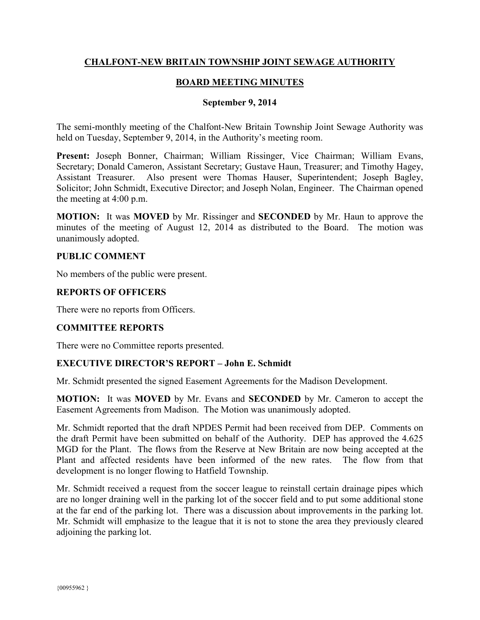# **CHALFONT-NEW BRITAIN TOWNSHIP JOINT SEWAGE AUTHORITY**

# **BOARD MEETING MINUTES**

#### **September 9, 2014**

The semi-monthly meeting of the Chalfont-New Britain Township Joint Sewage Authority was held on Tuesday, September 9, 2014, in the Authority's meeting room.

**Present:** Joseph Bonner, Chairman; William Rissinger, Vice Chairman; William Evans, Secretary; Donald Cameron, Assistant Secretary; Gustave Haun, Treasurer; and Timothy Hagey, Assistant Treasurer. Also present were Thomas Hauser, Superintendent; Joseph Bagley, Solicitor; John Schmidt, Executive Director; and Joseph Nolan, Engineer. The Chairman opened the meeting at 4:00 p.m.

**MOTION:** It was **MOVED** by Mr. Rissinger and **SECONDED** by Mr. Haun to approve the minutes of the meeting of August 12, 2014 as distributed to the Board. The motion was unanimously adopted.

#### **PUBLIC COMMENT**

No members of the public were present.

### **REPORTS OF OFFICERS**

There were no reports from Officers.

### **COMMITTEE REPORTS**

There were no Committee reports presented.

### **EXECUTIVE DIRECTOR'S REPORT – John E. Schmidt**

Mr. Schmidt presented the signed Easement Agreements for the Madison Development.

**MOTION:** It was **MOVED** by Mr. Evans and **SECONDED** by Mr. Cameron to accept the Easement Agreements from Madison. The Motion was unanimously adopted.

Mr. Schmidt reported that the draft NPDES Permit had been received from DEP. Comments on the draft Permit have been submitted on behalf of the Authority. DEP has approved the 4.625 MGD for the Plant. The flows from the Reserve at New Britain are now being accepted at the Plant and affected residents have been informed of the new rates. The flow from that development is no longer flowing to Hatfield Township.

Mr. Schmidt received a request from the soccer league to reinstall certain drainage pipes which are no longer draining well in the parking lot of the soccer field and to put some additional stone at the far end of the parking lot. There was a discussion about improvements in the parking lot. Mr. Schmidt will emphasize to the league that it is not to stone the area they previously cleared adjoining the parking lot.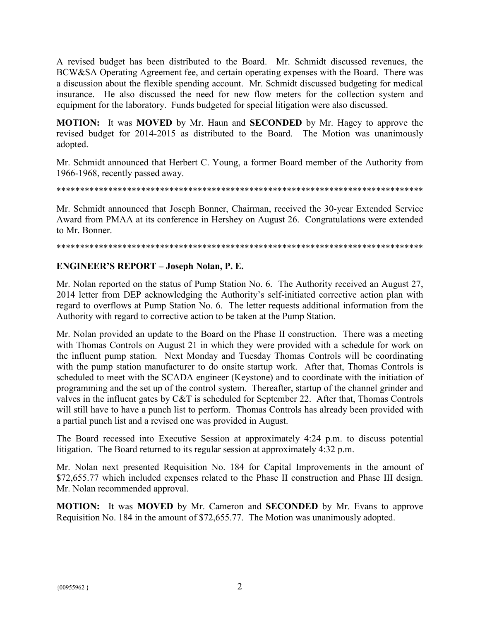A revised budget has been distributed to the Board. Mr. Schmidt discussed revenues, the BCW&SA Operating Agreement fee, and certain operating expenses with the Board. There was a discussion about the flexible spending account. Mr. Schmidt discussed budgeting for medical insurance. He also discussed the need for new flow meters for the collection system and equipment for the laboratory. Funds budgeted for special litigation were also discussed.

**MOTION:** It was **MOVED** by Mr. Haun and **SECONDED** by Mr. Hagey to approve the revised budget for 2014-2015 as distributed to the Board. The Motion was unanimously adopted.

Mr. Schmidt announced that Herbert C. Young, a former Board member of the Authority from 1966-1968, recently passed away.

Mr. Schmidt announced that Joseph Bonner, Chairman, received the 30-year Extended Service Award from PMAA at its conference in Hershey on August 26. Congratulations were extended to Mr. Bonner.

#### 

# **ENGINEER'S REPORT - Joseph Nolan, P. E.**

Mr. Nolan reported on the status of Pump Station No. 6. The Authority received an August 27, 2014 letter from DEP acknowledging the Authority's self-initiated corrective action plan with regard to overflows at Pump Station No. 6. The letter requests additional information from the Authority with regard to corrective action to be taken at the Pump Station.

Mr. Nolan provided an update to the Board on the Phase II construction. There was a meeting with Thomas Controls on August 21 in which they were provided with a schedule for work on the influent pump station. Next Monday and Tuesday Thomas Controls will be coordinating with the pump station manufacturer to do onsite startup work. After that, Thomas Controls is scheduled to meet with the SCADA engineer (Keystone) and to coordinate with the initiation of programming and the set up of the control system. Thereafter, startup of the channel grinder and valves in the influent gates by C&T is scheduled for September 22. After that, Thomas Controls will still have to have a punch list to perform. Thomas Controls has already been provided with a partial punch list and a revised one was provided in August.

The Board recessed into Executive Session at approximately 4:24 p.m. to discuss potential litigation. The Board returned to its regular session at approximately 4:32 p.m.

Mr. Nolan next presented Requisition No. 184 for Capital Improvements in the amount of \$72,655.77 which included expenses related to the Phase II construction and Phase III design. Mr. Nolan recommended approval.

**MOTION:** It was **MOVED** by Mr. Cameron and **SECONDED** by Mr. Evans to approve Requisition No. 184 in the amount of \$72,655.77. The Motion was unanimously adopted.